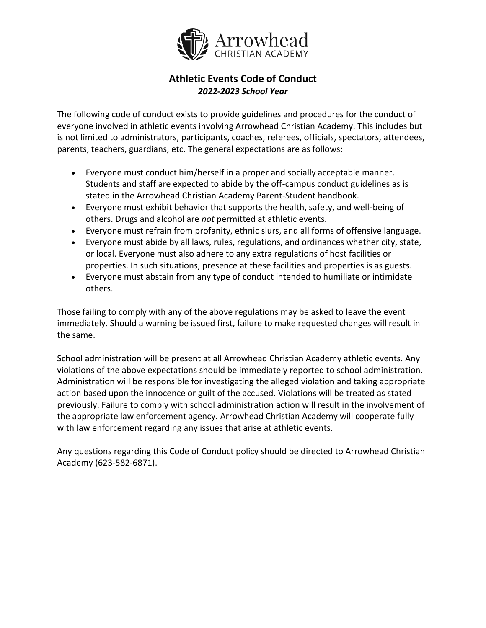

## **Athletic Events Code of Conduct** *2022-2023 School Year*

The following code of conduct exists to provide guidelines and procedures for the conduct of everyone involved in athletic events involving Arrowhead Christian Academy. This includes but is not limited to administrators, participants, coaches, referees, officials, spectators, attendees, parents, teachers, guardians, etc. The general expectations are as follows:

- Everyone must conduct him/herself in a proper and socially acceptable manner. Students and staff are expected to abide by the off-campus conduct guidelines as is stated in the Arrowhead Christian Academy Parent-Student handbook.
- Everyone must exhibit behavior that supports the health, safety, and well-being of others. Drugs and alcohol are *not* permitted at athletic events.
- Everyone must refrain from profanity, ethnic slurs, and all forms of offensive language.
- Everyone must abide by all laws, rules, regulations, and ordinances whether city, state, or local. Everyone must also adhere to any extra regulations of host facilities or properties. In such situations, presence at these facilities and properties is as guests.
- Everyone must abstain from any type of conduct intended to humiliate or intimidate others.

Those failing to comply with any of the above regulations may be asked to leave the event immediately. Should a warning be issued first, failure to make requested changes will result in the same.

School administration will be present at all Arrowhead Christian Academy athletic events. Any violations of the above expectations should be immediately reported to school administration. Administration will be responsible for investigating the alleged violation and taking appropriate action based upon the innocence or guilt of the accused. Violations will be treated as stated previously. Failure to comply with school administration action will result in the involvement of the appropriate law enforcement agency. Arrowhead Christian Academy will cooperate fully with law enforcement regarding any issues that arise at athletic events.

Any questions regarding this Code of Conduct policy should be directed to Arrowhead Christian Academy (623-582-6871).